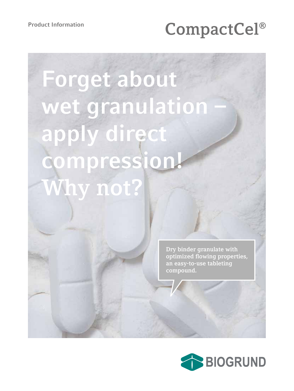# Product Information<br> **CompactCel®**

# **Forget about**  wet granulation **apply direct compression! Why not?**

**Dry binder granulate with optimized flowing properties, an easy-to-use tableting compound.**